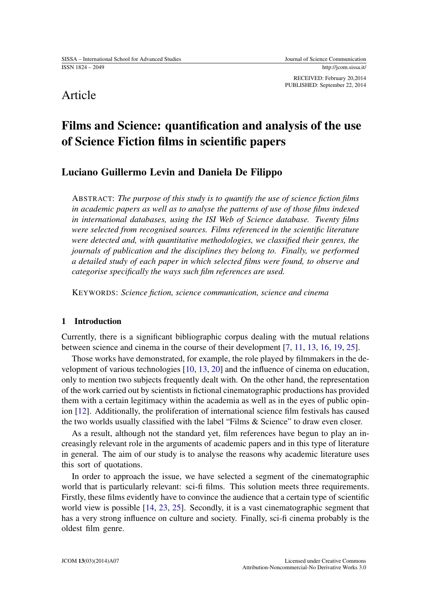RECEIVED: February 20,2014 PUBLISHED: September 22, 2014

## Article

# Films and Science: quantification and analysis of the use of Science Fiction films in scientific papers

## Luciano Guillermo Levin and Daniela De Filippo

ABSTRACT: *The purpose of this study is to quantify the use of science fiction films in academic papers as well as to analyse the patterns of use of those films indexed in international databases, using the ISI Web of Science database. Twenty films were selected from recognised sources. Films referenced in the scientific literature were detected and, with quantitative methodologies, we classified their genres, the journals of publication and the disciplines they belong to. Finally, we performed a detailed study of each paper in which selected films were found, to observe and categorise specifically the ways such film references are used.*

KEYWORDS: *Science fiction, science communication, science and cinema*

## 1 Introduction

Currently, there is a significant bibliographic corpus dealing with the mutual relations between science and cinema in the course of their development [\[7,](#page-18-0) [11,](#page-18-1) [13,](#page-18-2) [16,](#page-19-0) [19,](#page-19-1) [25\]](#page-19-2).

Those works have demonstrated, for example, the role played by filmmakers in the development of various technologies [\[10,](#page-18-3) [13,](#page-18-2) [20\]](#page-19-3) and the influence of cinema on education, only to mention two subjects frequently dealt with. On the other hand, the representation of the work carried out by scientists in fictional cinematographic productions has provided them with a certain legitimacy within the academia as well as in the eyes of public opinion [\[12\]](#page-18-4). Additionally, the proliferation of international science film festivals has caused the two worlds usually classified with the label "Films & Science" to draw even closer.

As a result, although not the standard yet, film references have begun to play an increasingly relevant role in the arguments of academic papers and in this type of literature in general. The aim of our study is to analyse the reasons why academic literature uses this sort of quotations.

In order to approach the issue, we have selected a segment of the cinematographic world that is particularly relevant: sci-fi films. This solution meets three requirements. Firstly, these films evidently have to convince the audience that a certain type of scientific world view is possible [\[14,](#page-18-5) [23,](#page-19-4) [25\]](#page-19-2). Secondly, it is a vast cinematographic segment that has a very strong influence on culture and society. Finally, sci-fi cinema probably is the oldest film genre.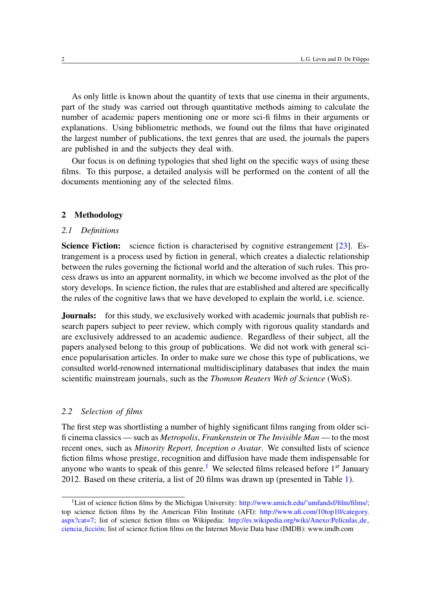As only little is known about the quantity of texts that use cinema in their arguments, part of the study was carried out through quantitative methods aiming to calculate the number of academic papers mentioning one or more sci-fi films in their arguments or explanations. Using bibliometric methods, we found out the films that have originated the largest number of publications, the text genres that are used, the journals the papers are published in and the subjects they deal with.

Our focus is on defining typologies that shed light on the specific ways of using these films. To this purpose, a detailed analysis will be performed on the content of all the documents mentioning any of the selected films.

### 2 Methodology

### *2.1 Definitions*

Science Fiction: science fiction is characterised by cognitive estrangement [\[23\]](#page-19-4). Estrangement is a process used by fiction in general, which creates a dialectic relationship between the rules governing the fictional world and the alteration of such rules. This process draws us into an apparent normality, in which we become involved as the plot of the story develops. In science fiction, the rules that are established and altered are specifically the rules of the cognitive laws that we have developed to explain the world, i.e. science.

**Journals:** for this study, we exclusively worked with academic journals that publish research papers subject to peer review, which comply with rigorous quality standards and are exclusively addressed to an academic audience. Regardless of their subject, all the papers analysed belong to this group of publications. We did not work with general science popularisation articles. In order to make sure we chose this type of publications, we consulted world-renowned international multidisciplinary databases that index the main scientific mainstream journals, such as the *Thomson Reuters Web of Science* (WoS).

### *2.2 Selection of films*

The first step was shortlisting a number of highly significant films ranging from older scifi cinema classics — such as *Metropolis*, *Frankenstein* or *The Invisible Man* — to the most recent ones, such as *Minority Report, Inception o Avatar*. We consulted lists of science fiction films whose prestige, recognition and diffusion have made them indispensable for anyone who wants to speak of this genre.<sup>[1](#page-1-0)</sup> We selected films released before  $1^{st}$  January 2012. Based on these criteria, a list of 20 films was drawn up (presented in Table [1\)](#page-2-0).

<span id="page-1-0"></span><sup>&</sup>lt;sup>1</sup>List of science fiction films by the Michigan University: http://www.umich.edu/~umfandsf/film/films/; top science fiction films by the American Film Institute (AFI): [http://www.afi.com/10top10/category.](http://www.afi.com/10top10/category.aspx?cat=7) [aspx?cat=7;](http://www.afi.com/10top10/category.aspx?cat=7) list of science fiction films on Wikipedia: http://es.wikipedia.org/wiki/Anexo:Películas\_de\_ [ciencia](http://es.wikipedia.org/wiki/Anexo:Pel) ficción: list of science fiction films on the Internet Movie Data base (IMDB): www.imdb.com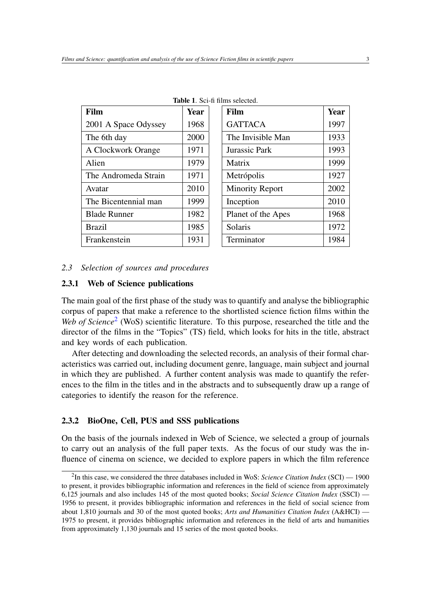| Film                 | <b>Year</b> | Film                   | Year |
|----------------------|-------------|------------------------|------|
| 2001 A Space Odyssey | 1968        | <b>GATTACA</b>         | 1997 |
| The 6th day          | 2000        | The Invisible Man      | 1933 |
| A Clockwork Orange   | 1971        | Jurassic Park          | 1993 |
| Alien                | 1979        | Matrix                 | 1999 |
| The Andromeda Strain | 1971        | Metrópolis             | 1927 |
| Avatar               | 2010        | <b>Minority Report</b> | 2002 |
| The Bicentennial man | 1999        | Inception              | 2010 |
| <b>Blade Runner</b>  | 1982        | Planet of the Apes     | 1968 |
| <b>Brazil</b>        | 1985        | Solaris                | 1972 |
| Frankenstein         | 1931        | Terminator             | 1984 |

<span id="page-2-0"></span>Table 1. Sci-fi films selected.

#### *2.3 Selection of sources and procedures*

## 2.3.1 Web of Science publications

The main goal of the first phase of the study was to quantify and analyse the bibliographic corpus of papers that make a reference to the shortlisted science fiction films within the Web of Science<sup>[2](#page-2-1)</sup> (WoS) scientific literature. To this purpose, researched the title and the director of the films in the "Topics" (TS) field, which looks for hits in the title, abstract and key words of each publication.

After detecting and downloading the selected records, an analysis of their formal characteristics was carried out, including document genre, language, main subject and journal in which they are published. A further content analysis was made to quantify the references to the film in the titles and in the abstracts and to subsequently draw up a range of categories to identify the reason for the reference.

## 2.3.2 BioOne, Cell, PUS and SSS publications

On the basis of the journals indexed in Web of Science, we selected a group of journals to carry out an analysis of the full paper texts. As the focus of our study was the influence of cinema on science, we decided to explore papers in which the film reference

<span id="page-2-1"></span><sup>2</sup> In this case, we considered the three databases included in WoS: *Science Citation Index* (SCI) — 1900 to present, it provides bibliographic information and references in the field of science from approximately 6,125 journals and also includes 145 of the most quoted books; *Social Science Citation Index* (SSCI) — 1956 to present, it provides bibliographic information and references in the field of social science from about 1,810 journals and 30 of the most quoted books; *Arts and Humanities Citation Index* (A&HCI) — 1975 to present, it provides bibliographic information and references in the field of arts and humanities from approximately 1,130 journals and 15 series of the most quoted books.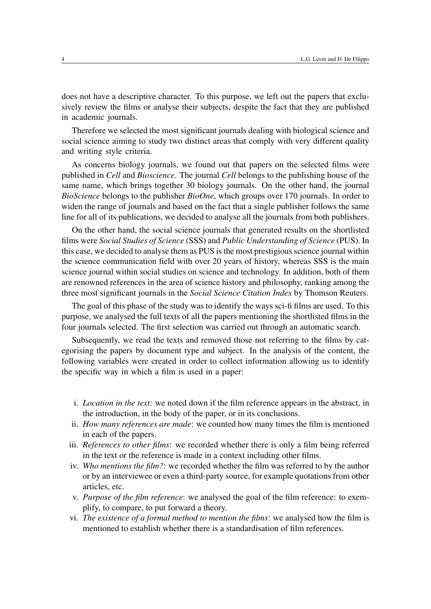does not have a descriptive character. To this purpose, we left out the papers that exclusively review the films or analyse their subjects, despite the fact that they are published in academic journals.

Therefore we selected the most significant journals dealing with biological science and social science aiming to study two distinct areas that comply with very different quality and writing style criteria.

As concerns biology journals, we found out that papers on the selected films were published in *Cell* and *Bioscience*. The journal *Cell* belongs to the publishing house of the same name, which brings together 30 biology journals. On the other hand, the journal *BioScience* belongs to the publisher *BioOne*, which groups over 170 journals. In order to widen the range of journals and based on the fact that a single publisher follows the same line for all of its publications, we decided to analyse all the journals from both publishers.

On the other hand, the social science journals that generated results on the shortlisted films were *Social Studies of Science* (SSS) and *Public Understanding of Science* (PUS). In this case, we decided to analyse them as PUS is the most prestigious science journal within the science communication field with over 20 years of history, whereas SSS is the main science journal within social studies on science and technology. In addition, both of them are renowned references in the area of science history and philosophy, ranking among the three most significant journals in the *Social Science Citation Index* by Thomson Reuters.

The goal of this phase of the study was to identify the ways sci-fi films are used. To this purpose, we analysed the full texts of all the papers mentioning the shortlisted films in the four journals selected. The first selection was carried out through an automatic search.

Subsequently, we read the texts and removed those not referring to the films by categorising the papers by document type and subject. In the analysis of the content, the following variables were created in order to collect information allowing us to identify the specific way in which a film is used in a paper:

- i. *Location in the text*: we noted down if the film reference appears in the abstract, in the introduction, in the body of the paper, or in its conclusions.
- ii. *How many references are made*: we counted how many times the film is mentioned in each of the papers.
- iii. *References to other films*: we recorded whether there is only a film being referred in the text or the reference is made in a context including other films.
- iv. *Who mentions the film?*: we recorded whether the film was referred to by the author or by an interviewee or even a third-party source, for example quotations from other articles, etc.
- v. *Purpose of the film reference*: we analysed the goal of the film reference: to exemplify, to compare, to put forward a theory.
- vi. *The existence of a formal method to mention the films*: we analysed how the film is mentioned to establish whether there is a standardisation of film references.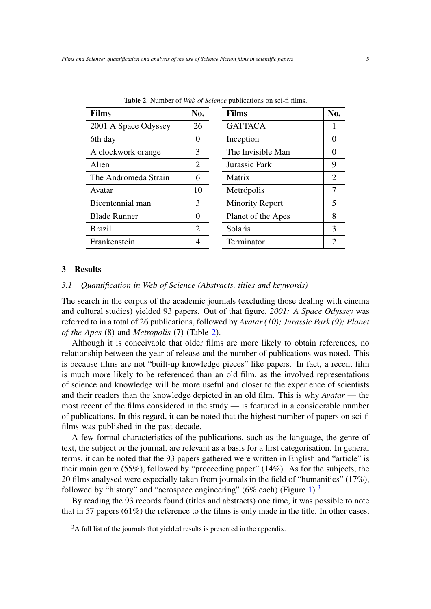| <b>Films</b>         | No.                   | <b>Films</b>           |
|----------------------|-----------------------|------------------------|
| 2001 A Space Odyssey | 26                    | <b>GATTACA</b>         |
| 6th day              | 0                     | Inception              |
| A clockwork orange   | 3                     | The Invisible Mar      |
| Alien                | $\mathcal{D}_{\cdot}$ | Jurassic Park          |
| The Andromeda Strain | 6                     | Matrix                 |
| Avatar               | 10                    | Metrópolis             |
| Bicentennial man     | 3                     | <b>Minority Report</b> |
| <b>Blade Runner</b>  | 0                     | Planet of the Ape      |
| <b>Brazil</b>        | 2                     | Solaris                |
| Frankenstein         |                       | Terminator             |

<span id="page-4-0"></span>Table 2. Number of *Web of Science* publications on sci-fi films.

| <b>Films</b>           | No.            |
|------------------------|----------------|
| <b>GATTACA</b>         | 1              |
| Inception              | 0              |
| The Invisible Man      | 0              |
| Jurassic Park          | 9              |
| Matrix                 | $\overline{2}$ |
| Metrópolis             | 7              |
| <b>Minority Report</b> | 5              |
| Planet of the Apes     | 8              |
| Solaris                | 3              |
| Terminator             | 2              |

### 3 Results

## *3.1 Quantification in Web of Science (Abstracts, titles and keywords)*

The search in the corpus of the academic journals (excluding those dealing with cinema and cultural studies) yielded 93 papers. Out of that figure, *2001: A Space Odyssey* was referred to in a total of 26 publications, followed by *Avatar (10); Jurassic Park (9); Planet of the Apes* (8) and *Metropolis* (7) (Table [2\)](#page-4-0).

Although it is conceivable that older films are more likely to obtain references, no relationship between the year of release and the number of publications was noted. This is because films are not "built-up knowledge pieces" like papers. In fact, a recent film is much more likely to be referenced than an old film, as the involved representations of science and knowledge will be more useful and closer to the experience of scientists and their readers than the knowledge depicted in an old film. This is why *Avatar* — the most recent of the films considered in the study — is featured in a considerable number of publications. In this regard, it can be noted that the highest number of papers on sci-fi films was published in the past decade.

A few formal characteristics of the publications, such as the language, the genre of text, the subject or the journal, are relevant as a basis for a first categorisation. In general terms, it can be noted that the 93 papers gathered were written in English and "article" is their main genre (55%), followed by "proceeding paper" (14%). As for the subjects, the 20 films analysed were especially taken from journals in the field of "humanities" (17%), followed by "history" and "aerospace engineering" (6% each) (Figure [1\)](#page-5-0).<sup>[3](#page-4-1)</sup>

By reading the 93 records found (titles and abstracts) one time, it was possible to note that in 57 papers (61%) the reference to the films is only made in the title. In other cases,

<span id="page-4-1"></span><sup>&</sup>lt;sup>3</sup>A full list of the journals that yielded results is presented in the appendix.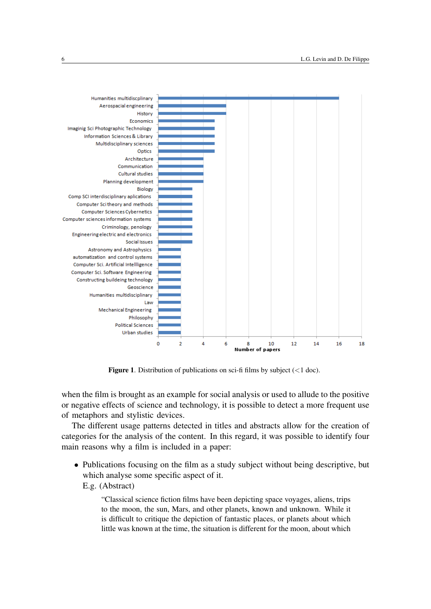

<span id="page-5-0"></span>**Figure 1.** Distribution of publications on sci-fi films by subject  $\left(\langle 1 \text{ doc}\right)$ .

when the film is brought as an example for social analysis or used to allude to the positive or negative effects of science and technology, it is possible to detect a more frequent use of metaphors and stylistic devices.

The different usage patterns detected in titles and abstracts allow for the creation of categories for the analysis of the content. In this regard, it was possible to identify four main reasons why a film is included in a paper:

• Publications focusing on the film as a study subject without being descriptive, but which analyse some specific aspect of it.

E.g. (Abstract)

"Classical science fiction films have been depicting space voyages, aliens, trips to the moon, the sun, Mars, and other planets, known and unknown. While it is difficult to critique the depiction of fantastic places, or planets about which little was known at the time, the situation is different for the moon, about which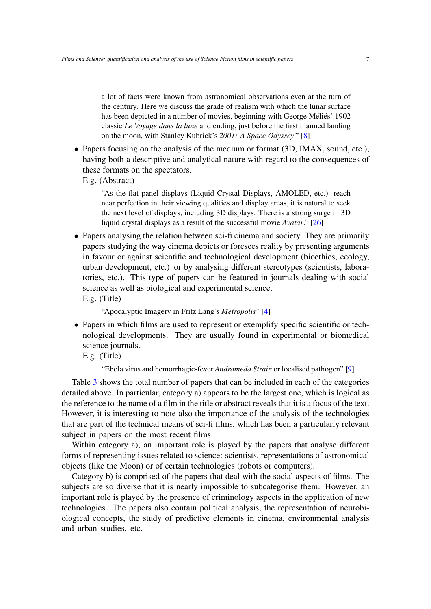a lot of facts were known from astronomical observations even at the turn of the century. Here we discuss the grade of realism with which the lunar surface has been depicted in a number of movies, beginning with George Méliés' 1902 classic *Le Voyage dans la lune* and ending, just before the first manned landing on the moon, with Stanley Kubrick's *2001: A Space Odyssey*." [\[8\]](#page-18-6)

• Papers focusing on the analysis of the medium or format (3D, IMAX, sound, etc.), having both a descriptive and analytical nature with regard to the consequences of these formats on the spectators.

E.g. (Abstract)

"As the flat panel displays (Liquid Crystal Displays, AMOLED, etc.) reach near perfection in their viewing qualities and display areas, it is natural to seek the next level of displays, including 3D displays. There is a strong surge in 3D liquid crystal displays as a result of the successful movie *Avatar*." [\[26\]](#page-19-5)

• Papers analysing the relation between sci-fi cinema and society. They are primarily papers studying the way cinema depicts or foresees reality by presenting arguments in favour or against scientific and technological development (bioethics, ecology, urban development, etc.) or by analysing different stereotypes (scientists, laboratories, etc.). This type of papers can be featured in journals dealing with social science as well as biological and experimental science. E.g. (Title)

```
"Apocalyptic Imagery in Fritz Lang's Metropolis" [4]
```
• Papers in which films are used to represent or exemplify specific scientific or technological developments. They are usually found in experimental or biomedical science journals.

E.g. (Title)

"Ebola virus and hemorrhagic-fever *Andromeda Strain* or localised pathogen" [\[9\]](#page-18-8)

Table [3](#page-7-0) shows the total number of papers that can be included in each of the categories detailed above. In particular, category a) appears to be the largest one, which is logical as the reference to the name of a film in the title or abstract reveals that it is a focus of the text. However, it is interesting to note also the importance of the analysis of the technologies that are part of the technical means of sci-fi films, which has been a particularly relevant subject in papers on the most recent films.

Within category a), an important role is played by the papers that analyse different forms of representing issues related to science: scientists, representations of astronomical objects (like the Moon) or of certain technologies (robots or computers).

Category b) is comprised of the papers that deal with the social aspects of films. The subjects are so diverse that it is nearly impossible to subcategorise them. However, an important role is played by the presence of criminology aspects in the application of new technologies. The papers also contain political analysis, the representation of neurobiological concepts, the study of predictive elements in cinema, environmental analysis and urban studies, etc.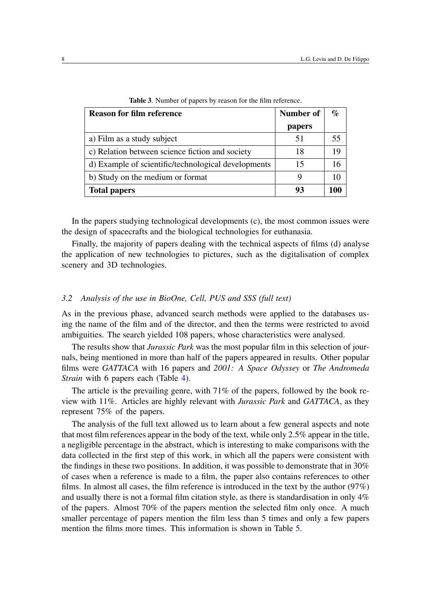| <b>Reason for film reference</b>                    | Number of | $\%$ |
|-----------------------------------------------------|-----------|------|
|                                                     | papers    |      |
| a) Film as a study subject                          | 51        | 55   |
| c) Relation between science fiction and society     | 18        | 19   |
| d) Example of scientific/technological developments | 15        | 16   |
| b) Study on the medium or format                    | 9         | 10   |
| <b>Total papers</b>                                 | 93        | 100  |

<span id="page-7-0"></span>Table 3. Number of papers by reason for the film reference.

In the papers studying technological developments (c), the most common issues were the design of spacecrafts and the biological technologies for euthanasia.

Finally, the majority of papers dealing with the technical aspects of films (d) analyse the application of new technologies to pictures, such as the digitalisation of complex scenery and 3D technologies.

## *3.2 Analysis of the use in BioOne, Cell, PUS and SSS (full text)*

As in the previous phase, advanced search methods were applied to the databases using the name of the film and of the director, and then the terms were restricted to avoid ambiguities. The search yielded 108 papers, whose characteristics were analysed.

The results show that *Jurassic Park* was the most popular film in this selection of journals, being mentioned in more than half of the papers appeared in results. Other popular films were *GATTACA* with 16 papers and *2001: A Space Odyssey* or *The Andromeda Strain* with 6 papers each (Table [4\)](#page-8-0).

The article is the prevailing genre, with 71% of the papers, followed by the book review with 11%. Articles are highly relevant with *Jurassic Park* and *GATTACA*, as they represent 75% of the papers.

The analysis of the full text allowed us to learn about a few general aspects and note that most film references appear in the body of the text, while only 2.5% appear in the title, a negligible percentage in the abstract, which is interesting to make comparisons with the data collected in the first step of this work, in which all the papers were consistent with the findings in these two positions. In addition, it was possible to demonstrate that in 30% of cases when a reference is made to a film, the paper also contains references to other films. In almost all cases, the film reference is introduced in the text by the author (97%) and usually there is not a formal film citation style, as there is standardisation in only 4% of the papers. Almost 70% of the papers mention the selected film only once. A much smaller percentage of papers mention the film less than 5 times and only a few papers mention the films more times. This information is shown in Table [5.](#page-9-0)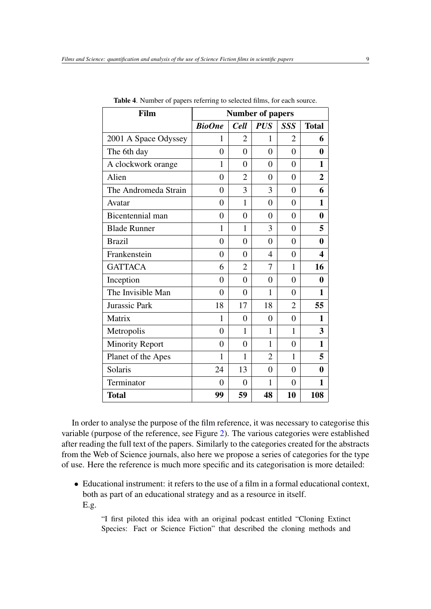| Film                   | <b>Number of papers</b> |                |                |                |                |
|------------------------|-------------------------|----------------|----------------|----------------|----------------|
|                        | <b>BioOne</b>           | <b>Cell</b>    | <b>PUS</b>     | <b>SSS</b>     | <b>Total</b>   |
| 2001 A Space Odyssey   | 1                       | $\overline{2}$ | 1              | $\overline{2}$ | 6              |
| The 6th day            | 0                       | $\Omega$       | 0              | $\Omega$       | 0              |
| A clockwork orange     | 1                       | $\overline{0}$ | $\theta$       | $\theta$       | 1              |
| Alien                  | $\theta$                | $\overline{2}$ | $\theta$       | $\overline{0}$ | $\overline{2}$ |
| The Andromeda Strain   | $\theta$                | 3              | 3              | $\theta$       | 6              |
| Avatar                 | $\overline{0}$          | 1              | $\theta$       | $\overline{0}$ | 1              |
| Bicentennial man       | $\overline{0}$          | $\overline{0}$ | $\overline{0}$ | $\overline{0}$ | 0              |
| <b>Blade Runner</b>    | 1                       | 1              | 3              | $\overline{0}$ | 5              |
| <b>Brazil</b>          | $\theta$                | $\theta$       | $\theta$       | $\theta$       | $\bf{0}$       |
| Frankenstein           | $\theta$                | $\overline{0}$ | 4              | $\theta$       | 4              |
| <b>GATTACA</b>         | 6                       | $\overline{2}$ | 7              | 1              | 16             |
| Inception              | $\overline{0}$          | $\overline{0}$ | $\overline{0}$ | $\overline{0}$ | 0              |
| The Invisible Man      | $\overline{0}$          | $\overline{0}$ | 1              | $\theta$       | 1              |
| <b>Jurassic Park</b>   | 18                      | 17             | 18             | $\overline{2}$ | 55             |
| Matrix                 | 1                       | 0              | 0              | 0              | 1              |
| Metropolis             | $\theta$                | 1              | 1              | 1              | 3              |
| <b>Minority Report</b> | $\overline{0}$          | $\overline{0}$ | 1              | $\overline{0}$ | 1              |
| Planet of the Apes     | $\mathbf{1}$            | $\mathbf{1}$   | $\overline{2}$ | 1              | 5              |
| Solaris                | 24                      | 13             | $\theta$       | $\overline{0}$ | 0              |
| Terminator             | $\overline{0}$          | $\overline{0}$ | 1              | $\overline{0}$ | 1              |
| <b>Total</b>           | 99                      | 59             | 48             | 10             | 108            |

<span id="page-8-0"></span>Table 4. Number of papers referring to selected films, for each source.

In order to analyse the purpose of the film reference, it was necessary to categorise this variable (purpose of the reference, see Figure [2\)](#page-12-0). The various categories were established after reading the full text of the papers. Similarly to the categories created for the abstracts from the Web of Science journals, also here we propose a series of categories for the type of use. Here the reference is much more specific and its categorisation is more detailed:

• Educational instrument: it refers to the use of a film in a formal educational context, both as part of an educational strategy and as a resource in itself. E.g.

"I first piloted this idea with an original podcast entitled "Cloning Extinct Species: Fact or Science Fiction" that described the cloning methods and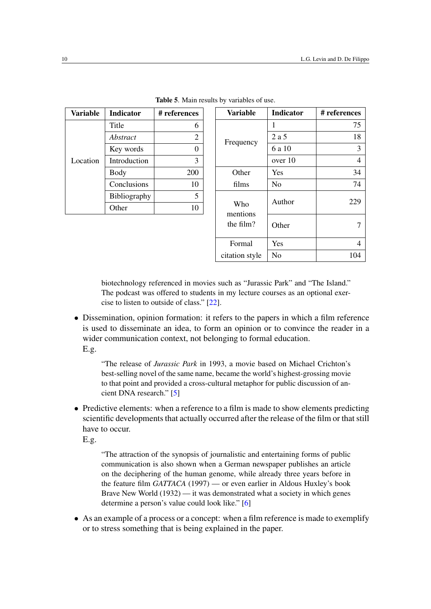| Variable | <b>Indicator</b>    | # references |
|----------|---------------------|--------------|
|          | Title               | 6            |
|          | Abstract            | 2            |
|          | Key words           |              |
| Location | Introduction        | 3            |
|          | Body                | 200          |
|          | Conclusions         | 10           |
|          | <b>Bibliography</b> | 5            |
|          | ther                |              |

<span id="page-9-0"></span>

|  |  | Table 5. Main results by variables of use. |  |
|--|--|--------------------------------------------|--|
|  |  |                                            |  |

| <b>Variable</b> | <b>Indicator</b> | # references   |
|-----------------|------------------|----------------|
|                 | 1                | 75             |
| Frequency       | 2 a 5            | 18             |
|                 | 6 a 10           | 3              |
|                 | over 10          | $\overline{4}$ |
| Other           | Yes              | 34             |
| films           | N <sub>0</sub>   | 74             |
| Who<br>mentions | Author           | 229            |
| the film?       | Other            |                |
| Formal          | Yes              | 4              |
| citation style  | No               | 104            |

biotechnology referenced in movies such as "Jurassic Park" and "The Island." The podcast was offered to students in my lecture courses as an optional exercise to listen to outside of class." [\[22\]](#page-19-6).

• Dissemination, opinion formation: it refers to the papers in which a film reference is used to disseminate an idea, to form an opinion or to convince the reader in a wider communication context, not belonging to formal education.

E.g.

"The release of *Jurassic Park* in 1993, a movie based on Michael Crichton's best-selling novel of the same name, became the world's highest-grossing movie to that point and provided a cross-cultural metaphor for public discussion of ancient DNA research." [\[5\]](#page-18-9)

• Predictive elements: when a reference to a film is made to show elements predicting scientific developments that actually occurred after the release of the film or that still have to occur.

E.g.

"The attraction of the synopsis of journalistic and entertaining forms of public communication is also shown when a German newspaper publishes an article on the deciphering of the human genome, while already three years before in the feature film *GATTACA* (1997) — or even earlier in Aldous Huxley's book Brave New World (1932) — it was demonstrated what a society in which genes determine a person's value could look like." [\[6\]](#page-18-10)

• As an example of a process or a concept: when a film reference is made to exemplify or to stress something that is being explained in the paper.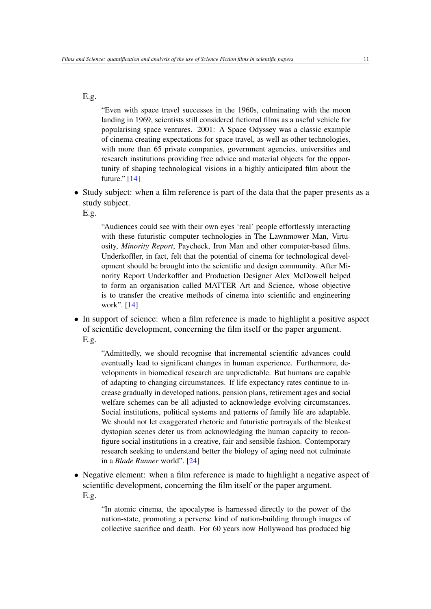E.g.

"Even with space travel successes in the 1960s, culminating with the moon landing in 1969, scientists still considered fictional films as a useful vehicle for popularising space ventures. 2001: A Space Odyssey was a classic example of cinema creating expectations for space travel, as well as other technologies, with more than 65 private companies, government agencies, universities and research institutions providing free advice and material objects for the opportunity of shaping technological visions in a highly anticipated film about the future." [\[14\]](#page-18-5)

• Study subject: when a film reference is part of the data that the paper presents as a study subject.

E.g.

"Audiences could see with their own eyes 'real' people effortlessly interacting with these futuristic computer technologies in The Lawnmower Man, Virtuosity, *Minority Report*, Paycheck, Iron Man and other computer-based films. Underkoffler, in fact, felt that the potential of cinema for technological development should be brought into the scientific and design community. After Minority Report Underkoffler and Production Designer Alex McDowell helped to form an organisation called MATTER Art and Science, whose objective is to transfer the creative methods of cinema into scientific and engineering work". [\[14\]](#page-18-5)

• In support of science: when a film reference is made to highlight a positive aspect of scientific development, concerning the film itself or the paper argument. E.g.

"Admittedly, we should recognise that incremental scientific advances could eventually lead to significant changes in human experience. Furthermore, developments in biomedical research are unpredictable. But humans are capable of adapting to changing circumstances. If life expectancy rates continue to increase gradually in developed nations, pension plans, retirement ages and social welfare schemes can be all adjusted to acknowledge evolving circumstances. Social institutions, political systems and patterns of family life are adaptable. We should not let exaggerated rhetoric and futuristic portrayals of the bleakest dystopian scenes deter us from acknowledging the human capacity to reconfigure social institutions in a creative, fair and sensible fashion. Contemporary research seeking to understand better the biology of aging need not culminate in a *Blade Runner* world". [\[24\]](#page-19-7)

• Negative element: when a film reference is made to highlight a negative aspect of scientific development, concerning the film itself or the paper argument. E.g.

"In atomic cinema, the apocalypse is harnessed directly to the power of the nation-state, promoting a perverse kind of nation-building through images of collective sacrifice and death. For 60 years now Hollywood has produced big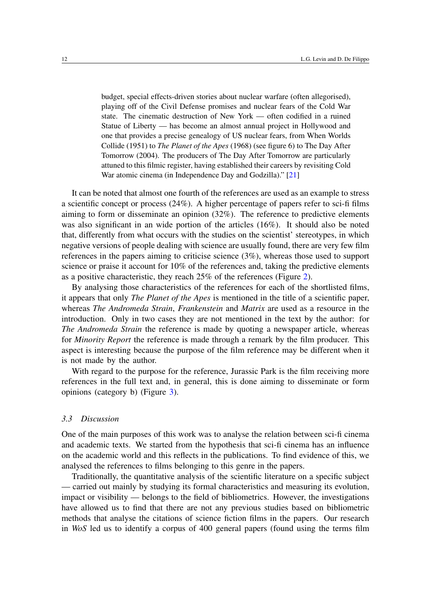budget, special effects-driven stories about nuclear warfare (often allegorised), playing off of the Civil Defense promises and nuclear fears of the Cold War state. The cinematic destruction of New York — often codified in a ruined Statue of Liberty — has become an almost annual project in Hollywood and one that provides a precise genealogy of US nuclear fears, from When Worlds Collide (1951) to *The Planet of the Apes* (1968) (see figure 6) to The Day After Tomorrow (2004). The producers of The Day After Tomorrow are particularly attuned to this filmic register, having established their careers by revisiting Cold War atomic cinema (in Independence Day and Godzilla)." [\[21\]](#page-19-8)

It can be noted that almost one fourth of the references are used as an example to stress a scientific concept or process (24%). A higher percentage of papers refer to sci-fi films aiming to form or disseminate an opinion (32%). The reference to predictive elements was also significant in an wide portion of the articles (16%). It should also be noted that, differently from what occurs with the studies on the scientist' stereotypes, in which negative versions of people dealing with science are usually found, there are very few film references in the papers aiming to criticise science (3%), whereas those used to support science or praise it account for 10% of the references and, taking the predictive elements as a positive characteristic, they reach 25% of the references (Figure [2\)](#page-12-0).

By analysing those characteristics of the references for each of the shortlisted films, it appears that only *The Planet of the Apes* is mentioned in the title of a scientific paper, whereas *The Andromeda Strain*, *Frankenstein* and *Matrix* are used as a resource in the introduction. Only in two cases they are not mentioned in the text by the author: for *The Andromeda Strain* the reference is made by quoting a newspaper article, whereas for *Minority Report* the reference is made through a remark by the film producer. This aspect is interesting because the purpose of the film reference may be different when it is not made by the author.

With regard to the purpose for the reference, Jurassic Park is the film receiving more references in the full text and, in general, this is done aiming to disseminate or form opinions (category b) (Figure [3\)](#page-13-0).

## *3.3 Discussion*

One of the main purposes of this work was to analyse the relation between sci-fi cinema and academic texts. We started from the hypothesis that sci-fi cinema has an influence on the academic world and this reflects in the publications. To find evidence of this, we analysed the references to films belonging to this genre in the papers.

Traditionally, the quantitative analysis of the scientific literature on a specific subject — carried out mainly by studying its formal characteristics and measuring its evolution, impact or visibility — belongs to the field of bibliometrics. However, the investigations have allowed us to find that there are not any previous studies based on bibliometric methods that analyse the citations of science fiction films in the papers. Our research in *WoS* led us to identify a corpus of 400 general papers (found using the terms film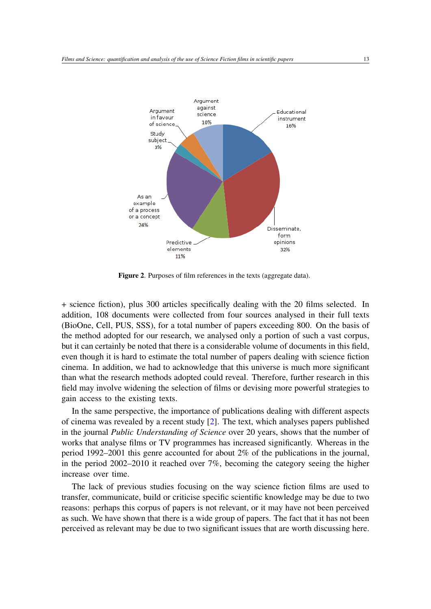

<span id="page-12-0"></span>Figure 2. Purposes of film references in the texts (aggregate data).

+ science fiction), plus 300 articles specifically dealing with the 20 films selected. In addition, 108 documents were collected from four sources analysed in their full texts (BioOne, Cell, PUS, SSS), for a total number of papers exceeding 800. On the basis of the method adopted for our research, we analysed only a portion of such a vast corpus, but it can certainly be noted that there is a considerable volume of documents in this field, even though it is hard to estimate the total number of papers dealing with science fiction cinema. In addition, we had to acknowledge that this universe is much more significant than what the research methods adopted could reveal. Therefore, further research in this field may involve widening the selection of films or devising more powerful strategies to gain access to the existing texts.

In the same perspective, the importance of publications dealing with different aspects of cinema was revealed by a recent study [\[2\]](#page-18-11). The text, which analyses papers published in the journal *Public Understanding of Science* over 20 years, shows that the number of works that analyse films or TV programmes has increased significantly. Whereas in the period 1992–2001 this genre accounted for about 2% of the publications in the journal, in the period 2002–2010 it reached over 7%, becoming the category seeing the higher increase over time.

The lack of previous studies focusing on the way science fiction films are used to transfer, communicate, build or criticise specific scientific knowledge may be due to two reasons: perhaps this corpus of papers is not relevant, or it may have not been perceived as such. We have shown that there is a wide group of papers. The fact that it has not been perceived as relevant may be due to two significant issues that are worth discussing here.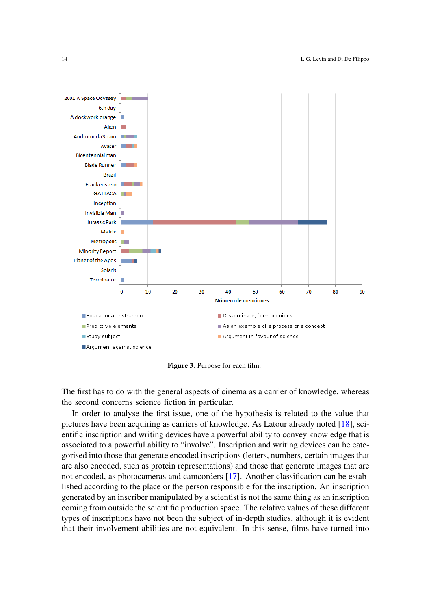

<span id="page-13-0"></span>Figure 3. Purpose for each film.

The first has to do with the general aspects of cinema as a carrier of knowledge, whereas the second concerns science fiction in particular.

In order to analyse the first issue, one of the hypothesis is related to the value that pictures have been acquiring as carriers of knowledge. As Latour already noted [\[18\]](#page-19-9), scientific inscription and writing devices have a powerful ability to convey knowledge that is associated to a powerful ability to "involve". Inscription and writing devices can be categorised into those that generate encoded inscriptions (letters, numbers, certain images that are also encoded, such as protein representations) and those that generate images that are not encoded, as photocameras and camcorders [\[17\]](#page-19-10). Another classification can be established according to the place or the person responsible for the inscription. An inscription generated by an inscriber manipulated by a scientist is not the same thing as an inscription coming from outside the scientific production space. The relative values of these different types of inscriptions have not been the subject of in-depth studies, although it is evident that their involvement abilities are not equivalent. In this sense, films have turned into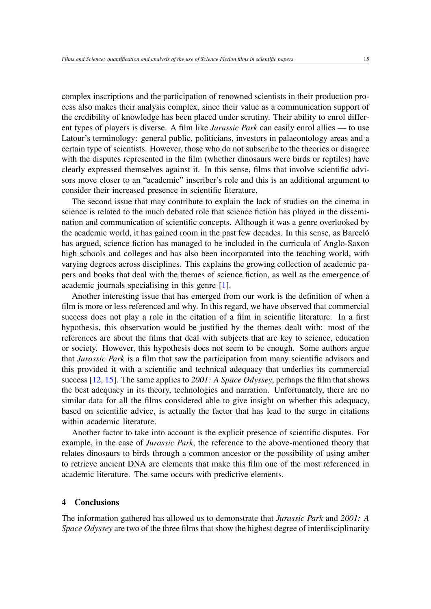complex inscriptions and the participation of renowned scientists in their production process also makes their analysis complex, since their value as a communication support of the credibility of knowledge has been placed under scrutiny. Their ability to enrol different types of players is diverse. A film like *Jurassic Park* can easily enrol allies — to use Latour's terminology: general public, politicians, investors in palaeontology areas and a certain type of scientists. However, those who do not subscribe to the theories or disagree with the disputes represented in the film (whether dinosaurs were birds or reptiles) have clearly expressed themselves against it. In this sense, films that involve scientific advisors move closer to an "academic" inscriber's role and this is an additional argument to consider their increased presence in scientific literature.

The second issue that may contribute to explain the lack of studies on the cinema in science is related to the much debated role that science fiction has played in the dissemination and communication of scientific concepts. Although it was a genre overlooked by the academic world, it has gained room in the past few decades. In this sense, as Barceló has argued, science fiction has managed to be included in the curricula of Anglo-Saxon high schools and colleges and has also been incorporated into the teaching world, with varying degrees across disciplines. This explains the growing collection of academic papers and books that deal with the themes of science fiction, as well as the emergence of academic journals specialising in this genre [\[1\]](#page-18-12).

Another interesting issue that has emerged from our work is the definition of when a film is more or less referenced and why. In this regard, we have observed that commercial success does not play a role in the citation of a film in scientific literature. In a first hypothesis, this observation would be justified by the themes dealt with: most of the references are about the films that deal with subjects that are key to science, education or society. However, this hypothesis does not seem to be enough. Some authors argue that *Jurassic Park* is a film that saw the participation from many scientific advisors and this provided it with a scientific and technical adequacy that underlies its commercial success [\[12,](#page-18-4) [15\]](#page-19-11). The same applies to *2001: A Space Odyssey*, perhaps the film that shows the best adequacy in its theory, technologies and narration. Unfortunately, there are no similar data for all the films considered able to give insight on whether this adequacy, based on scientific advice, is actually the factor that has lead to the surge in citations within academic literature.

Another factor to take into account is the explicit presence of scientific disputes. For example, in the case of *Jurassic Park*, the reference to the above-mentioned theory that relates dinosaurs to birds through a common ancestor or the possibility of using amber to retrieve ancient DNA are elements that make this film one of the most referenced in academic literature. The same occurs with predictive elements.

## 4 Conclusions

The information gathered has allowed us to demonstrate that *Jurassic Park* and *2001: A Space Odyssey* are two of the three films that show the highest degree of interdisciplinarity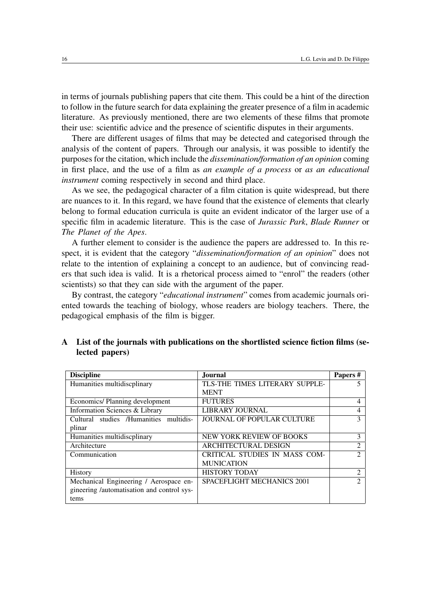in terms of journals publishing papers that cite them. This could be a hint of the direction to follow in the future search for data explaining the greater presence of a film in academic literature. As previously mentioned, there are two elements of these films that promote their use: scientific advice and the presence of scientific disputes in their arguments.

There are different usages of films that may be detected and categorised through the analysis of the content of papers. Through our analysis, it was possible to identify the purposes for the citation, which include the *dissemination/formation of an opinion* coming in first place, and the use of a film as *an example of a process* or *as an educational instrument* coming respectively in second and third place.

As we see, the pedagogical character of a film citation is quite widespread, but there are nuances to it. In this regard, we have found that the existence of elements that clearly belong to formal education curricula is quite an evident indicator of the larger use of a specific film in academic literature. This is the case of *Jurassic Park*, *Blade Runner* or *The Planet of the Apes*.

A further element to consider is the audience the papers are addressed to. In this respect, it is evident that the category "*dissemination/formation of an opinion*" does not relate to the intention of explaining a concept to an audience, but of convincing readers that such idea is valid. It is a rhetorical process aimed to "enrol" the readers (other scientists) so that they can side with the argument of the paper.

By contrast, the category "*educational instrument*" comes from academic journals oriented towards the teaching of biology, whose readers are biology teachers. There, the pedagogical emphasis of the film is bigger.

| <b>Discipline</b>                          | <b>Journal</b>                    | Papers#                     |
|--------------------------------------------|-----------------------------------|-----------------------------|
| Humanities multidiscplinary                | TLS-THE TIMES LITERARY SUPPLE-    |                             |
|                                            | <b>MENT</b>                       |                             |
| Economics/Planning development             | <b>FUTURES</b>                    | 4                           |
| Information Sciences & Library             | <b>LIBRARY JOURNAL</b>            | 4                           |
| Cultural studies /Humanities multidis-     | <b>JOURNAL OF POPULAR CULTURE</b> | 3                           |
| plinar                                     |                                   |                             |
| Humanities multidiscplinary                | NEW YORK REVIEW OF BOOKS          | 3                           |
| Architecture                               | <b>ARCHITECTURAL DESIGN</b>       | 2                           |
| Communication                              | CRITICAL STUDIES IN MASS COM-     | $\mathcal{D}$               |
|                                            | <b>MUNICATION</b>                 |                             |
| <b>History</b>                             | <b>HISTORY TODAY</b>              | $\mathcal{D}_{\mathcal{L}}$ |
| Mechanical Engineering / Aerospace en-     | <b>SPACEFLIGHT MECHANICS 2001</b> | $\mathcal{D}$               |
| gineering /automatisation and control sys- |                                   |                             |
| tems                                       |                                   |                             |

## A List of the journals with publications on the shortlisted science fiction films (selected papers)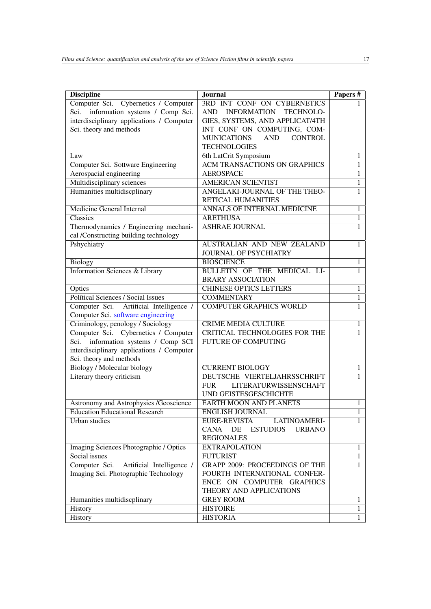| <b>Discipline</b>                         | <b>Journal</b>                              | Papers#        |
|-------------------------------------------|---------------------------------------------|----------------|
| Computer Sci. Cybernetics / Computer      | 3RD INT CONF ON CYBERNETICS                 |                |
| Sci. information systems / Comp Sci.      | AND INFORMATION TECHNOLO-                   |                |
| interdisciplinary applications / Computer | GIES, SYSTEMS, AND APPLICAT/4TH             |                |
| Sci. theory and methods                   | INT CONF ON COMPUTING, COM-                 |                |
|                                           | <b>MUNICATIONS</b><br>AND<br><b>CONTROL</b> |                |
|                                           | <b>TECHNOLOGIES</b>                         |                |
| Law                                       | 6th LatCrit Symposium                       | 1              |
| Computer Sci. Sottware Engineering        | <b>ACM TRANSACTIONS ON GRAPHICS</b>         | 1              |
| Aerospacial engineering                   | <b>AEROSPACE</b>                            | $\mathbf{1}$   |
| Multidisciplinary sciences                | <b>AMERICAN SCIENTIST</b>                   | $\mathbf{1}$   |
| Humanities multidiscplinary               | ANGELAKI-JOURNAL OF THE THEO-               | $\mathbf{1}$   |
|                                           | RETICAL HUMANITIES                          |                |
| <b>Medicine General Internal</b>          | ANNALS OF INTERNAL MEDICINE                 | $\overline{1}$ |
| Classics                                  | <b>ARETHUSA</b>                             | $\mathbf{1}$   |
| Thermodynamics / Engineering mechani-     | <b>ASHRAE JOURNAL</b>                       | $\mathbf{1}$   |
| cal /Constructing building technology     |                                             |                |
| Pshychiatry                               | AUSTRALIAN AND NEW ZEALAND                  | 1              |
|                                           | <b>JOURNAL OF PSYCHIATRY</b>                |                |
| Biology                                   | <b>BIOSCIENCE</b>                           | $\mathbf{1}$   |
| <b>Information Sciences &amp; Library</b> | BULLETIN OF THE MEDICAL LI-                 | $\mathbf{1}$   |
|                                           | <b>BRARY ASSOCIATION</b>                    |                |
| Optics                                    | <b>CHINESE OPTICS LETTERS</b>               | $\mathbf{1}$   |
| <b>Polítical Sciences / Social Issues</b> | <b>COMMENTARY</b>                           | $\mathbf{1}$   |
| Computer Sci. Artificial Intelligence /   | <b>COMPUTER GRAPHICS WORLD</b>              | 1              |
| Computer Sci. software engineering        |                                             |                |
| Criminology, penology / Sociology         | <b>CRIME MEDIA CULTURE</b>                  | 1              |
| Computer Sci. Cybernetics / Computer      | CRITICAL TECHNOLOGIES FOR THE               | $\mathbf{1}$   |
| information systems / Comp SCI<br>Sci.    | FUTURE OF COMPUTING                         |                |
| interdisciplinary applications / Computer |                                             |                |
| Sci. theory and methods                   |                                             |                |
| Biology / Molecular biology               | <b>CURRENT BIOLOGY</b>                      | 1              |
| Literary theory criticism                 | DEUTSCHE VIERTELJAHRSSCHRIFT                |                |
|                                           | <b>FUR</b><br><b>LITERATURWISSENSCHAFT</b>  |                |
|                                           | UND GEISTESGESCHICHTE                       |                |
| Astronomy and Astrophysics /Geoscience    | <b>EARTH MOON AND PLANETS</b>               | 1              |
| <b>Education Educational Research</b>     | <b>ENGLISH JOURNAL</b>                      |                |
| <b>Urban</b> studies                      | <b>EURE-REVISTA</b><br>LATINOAMERI-         | 1              |
|                                           | <b>CANA</b><br>DE ESTUDIOS<br><b>URBANO</b> |                |
|                                           | <b>REGIONALES</b>                           |                |
| Imaging Sciences Photographic / Optics    | <b>EXTRAPOLATION</b>                        | $\mathbf{1}$   |
| Social issues                             | <b>FUTURIST</b>                             | $\mathbf{1}$   |
| Computer Sci. Artificial Intelligence /   | <b>GRAPP 2009: PROCEEDINGS OF THE</b>       | 1              |
| Imaging Sci. Photographic Technology      | FOURTH INTERNATIONAL CONFER-                |                |
|                                           | ENCE ON COMPUTER GRAPHICS                   |                |
|                                           | THEORY AND APPLICATIONS                     |                |
| Humanities multidiscplinary               | <b>GREY ROOM</b>                            | 1              |
| History                                   | <b>HISTOIRE</b>                             | $\mathbf{1}$   |
| History                                   | <b>HISTORIA</b>                             | 1              |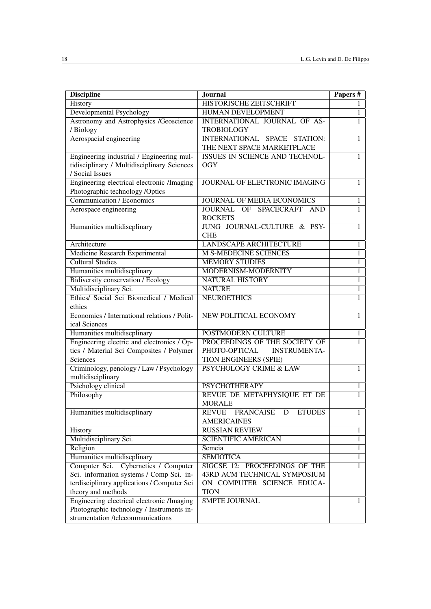| <b>Discipline</b>                                                   | Journal                                           | Papers#           |
|---------------------------------------------------------------------|---------------------------------------------------|-------------------|
| History                                                             | HISTORISCHE ZEITSCHRIFT                           |                   |
| Developmental Psychology                                            | HUMAN DEVELOPMENT                                 | $\mathbf{1}$      |
| Astronomy and Astrophysics /Geoscience                              | INTERNATIONAL JOURNAL OF AS-                      |                   |
| / Biology                                                           | <b>TROBIOLOGY</b>                                 |                   |
| Aerospacial engineering                                             | INTERNATIONAL SPACE STATION:                      | 1                 |
|                                                                     | THE NEXT SPACE MARKETPLACE                        |                   |
| Engineering industrial / Engineering mul-                           | ISSUES IN SCIENCE AND TECHNOL-                    |                   |
| tidisciplinary / Multidisciplinary Sciences                         | <b>OGY</b>                                        |                   |
| / Social Issues                                                     |                                                   |                   |
| Engineering electrical electronic /Imaging                          | JOURNAL OF ELECTRONIC IMAGING                     | 1                 |
| Photographic technology /Optics                                     |                                                   |                   |
| <b>Communication / Economics</b>                                    | <b>JOURNAL OF MEDIA ECONOMICS</b>                 | 1                 |
| Aerospace engineering                                               | JOURNAL OF SPACECRAFT AND                         | 1                 |
|                                                                     | <b>ROCKETS</b>                                    |                   |
| Humanities multidiscplinary                                         | JUNG JOURNAL-CULTURE & PSY-                       | 1                 |
|                                                                     | <b>CHE</b>                                        |                   |
| Architecture                                                        | <b>LANDSCAPE ARCHITECTURE</b>                     | 1                 |
| <b>Medicine Research Experimental</b>                               | <b>M S-MEDECINE SCIENCES</b>                      | $\mathbf{1}$      |
| <b>Cultural Studies</b>                                             | <b>MEMORY STUDIES</b>                             | 1                 |
| Humanities multidiscplinary                                         | MODERNISM-MODERNITY                               | $\mathbf{1}$      |
| <b>Bidiversity conservation / Ecology</b>                           | NATURAL HISTORY                                   | $\mathbf{1}$      |
| Multidisciplinary Sci.                                              | <b>NATURE</b>                                     | $\overline{1}$    |
| Ethics/ Social Sci Biomedical / Medical                             | <b>NEUROETHICS</b>                                | 1                 |
| ethics                                                              |                                                   |                   |
| Economics / International relations / Polit-                        | NEW POLITICAL ECONOMY                             | 1                 |
| ical Sciences                                                       |                                                   |                   |
| Humanities multidiscplinary                                         | POSTMODERN CULTURE                                | 1                 |
| Engineering electric and electronics / Op-                          | PROCEEDINGS OF THE SOCIETY OF                     | 1                 |
| tics / Material Sci Composites / Polymer                            | PHOTO-OPTICAL<br><b>INSTRUMENTA-</b>              |                   |
| Sciences                                                            | TION ENGINEERS (SPIE)                             |                   |
| Criminology, penology / Law / Psychology                            | <b>PSYCHOLOGY CRIME &amp; LAW</b>                 | 1                 |
| multidisciplinary                                                   |                                                   |                   |
| Psichology clinical                                                 | <b>PSYCHOTHERAPY</b>                              | 1                 |
| Philosophy                                                          | REVUE DE METAPHYSIQUE ET DE                       |                   |
|                                                                     | <b>MORALE</b>                                     |                   |
| Humanities multidiscplinary                                         | REVUE FRANCAISE D<br><b>ETUDES</b>                | 1                 |
|                                                                     | <b>AMERICAINES</b>                                |                   |
| History                                                             | <b>RUSSIAN REVIEW</b>                             | $\mathbf{1}$      |
| Multidisciplinary Sci.                                              | <b>SCIENTIFIC AMERICAN</b>                        | 1                 |
| Religion                                                            | Semeia                                            | $\mathbf{1}$      |
| Humanities multidiscplinary<br>Computer Sci. Cybernetics / Computer | <b>SEMIOTICA</b><br>SIGCSE 12: PROCEEDINGS OF THE | 1<br>$\mathbf{1}$ |
| Sci. information systems / Comp Sci. in-                            | 43RD ACM TECHNICAL SYMPOSIUM                      |                   |
| terdisciplinary applications / Computer Sci                         | ON COMPUTER SCIENCE EDUCA-                        |                   |
| theory and methods                                                  | <b>TION</b>                                       |                   |
| Engineering electrical electronic /Imaging                          | <b>SMPTE JOURNAL</b>                              | 1                 |
| Photographic technology / Instruments in-                           |                                                   |                   |
| strumentation /telecommunications                                   |                                                   |                   |
|                                                                     |                                                   |                   |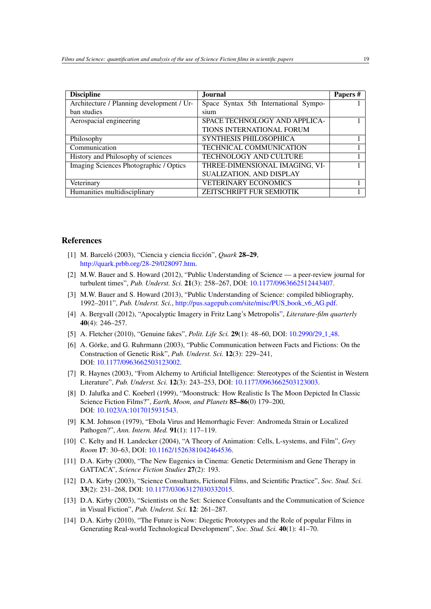| <b>Discipline</b>                         | Journal                               | Papers# |
|-------------------------------------------|---------------------------------------|---------|
| Architecture / Planning development / Ur- | Space Syntax 5th International Sympo- |         |
| ban studies                               | sium                                  |         |
| Aerospacial engineering                   | SPACE TECHNOLOGY AND APPLICA-         |         |
|                                           | TIONS INTERNATIONAL FORUM             |         |
| Philosophy                                | SYNTHESIS PHILOSOPHICA                |         |
| Communication                             | TECHNICAL COMMUNICATION               |         |
| History and Philosophy of sciences        | TECHNOLOGY AND CULTURE                |         |
| Imaging Sciences Photographic / Optics    | THREE-DIMENSIONAL IMAGING, VI-        |         |
|                                           | SUALIZATION, AND DISPLAY              |         |
| Veterinary                                | <b>VETERINARY ECONOMICS</b>           |         |
| Humanities multidisciplinary              | ZEITSCHRIFT FUR SEMIOTIK              |         |

## References

- <span id="page-18-12"></span>[1] M. Barceló (2003), "Ciencia y ciencia ficción", *Quark* 28–29, [http://quark.prbb.org/28-29/028097.htm.](http://quark.prbb.org/28-29/028097.htm)
- <span id="page-18-11"></span>[2] M.W. Bauer and S. Howard (2012), "Public Understanding of Science — a peer-review journal for turbulent times", *Pub. Underst. Sci.* 21(3): 258–267, DOI: [10.1177/0963662512443407.](http://dx.doi.org/10.1177/0963662512443407)
- [3] M.W. Bauer and S. Howard (2013), "Public Understanding of Science: compiled bibliography, 1992–2011", *Pub. Underst. Sci.*, [http://pus.sagepub.com/site/misc/PUS](http://pus.sagepub.com/site/misc/PUS_book_v6_AG.pdf) book v6 AG.pdf.
- <span id="page-18-7"></span>[4] A. Bergvall (2012), "Apocalyptic Imagery in Fritz Lang's Metropolis", *Literature-film quarterly* 40(4): 246–257.
- <span id="page-18-9"></span>[5] A. Fletcher (2010), "Genuine fakes", *Polit. Life Sci.* 29(1): 48–60, DOI: [10.2990/29](http://dx.doi.org/10.2990/29_1_48) 1 48.
- <span id="page-18-10"></span>[6] A. Görke, and G. Ruhrmann (2003), "Public Communication between Facts and Fictions: On the Construction of Genetic Risk", *Pub. Underst. Sci.* 12(3): 229–241, DOI: [10.1177/0963662503123002.](http://dx.doi.org/10.1177/0963662503123002)
- <span id="page-18-0"></span>[7] R. Haynes (2003), "From Alchemy to Artificial Intelligence: Stereotypes of the Scientist in Western Literature", *Pub. Underst. Sci.* 12(3): 243–253, DOI: [10.1177/0963662503123003.](http://dx.doi.org/10.1177/0963662503123003)
- <span id="page-18-6"></span>[8] D. Jalufka and C. Koeberl (1999), "Moonstruck: How Realistic Is The Moon Depicted In Classic Science Fiction Films?", *Earth, Moon, and Planets* 85–86(0) 179–200, DOI: [10.1023/A:1017015931543.](http://dx.doi.org/10.1023/A:1017015931543)
- <span id="page-18-8"></span>[9] K.M. Johnson (1979), "Ebola Virus and Hemorrhagic Fever: Andromeda Strain or Localized Pathogen?", *Ann. Intern. Med.* 91(1): 117–119.
- <span id="page-18-3"></span>[10] C. Kelty and H. Landecker (2004), "A Theory of Animation: Cells, L-systems, and Film", *Grey Room* 17: 30–63, DOI: [10.1162/1526381042464536.](http://dx.doi.org/10.1162/1526381042464536)
- <span id="page-18-1"></span>[11] D.A. Kirby (2000), "The New Eugenics in Cinema: Genetic Determinism and Gene Therapy in GATTACA", *Science Fiction Studies* 27(2): 193.
- <span id="page-18-4"></span>[12] D.A. Kirby (2003), "Science Consultants, Fictional Films, and Scientific Practice", *Soc. Stud. Sci.* 33(2): 231–268, DOI: [10.1177/03063127030332015.](http://dx.doi.org/10.1177/03063127030332015)
- <span id="page-18-2"></span>[13] D.A. Kirby (2003), "Scientists on the Set: Science Consultants and the Communication of Science in Visual Fiction", *Pub. Underst. Sci.* 12: 261–287.
- <span id="page-18-5"></span>[14] D.A. Kirby (2010), "The Future is Now: Diegetic Prototypes and the Role of popular Films in Generating Real-world Technological Development", *Soc. Stud. Sci.* 40(1): 41–70.